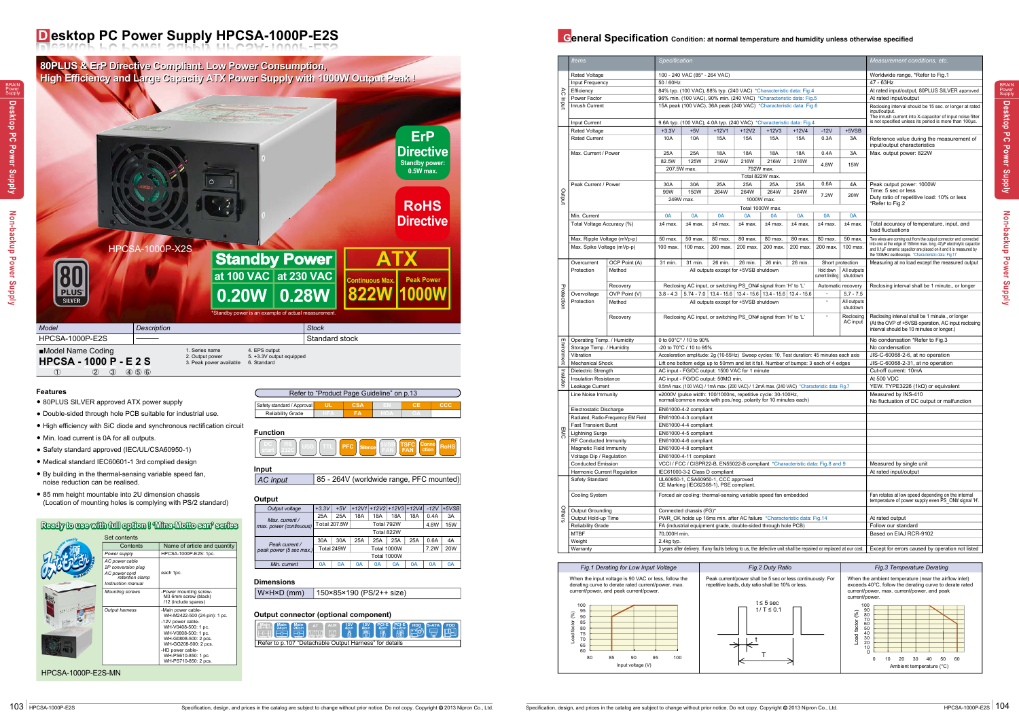BRAIN Power Supply

| ------                  |             |                     |                     |            |      |                            |        |         |
|-------------------------|-------------|---------------------|---------------------|------------|------|----------------------------|--------|---------|
| Output voltage          | $+3.3V$     | $+5V$               |                     |            |      | $+12V1 +12V2 +12V3 +12V4 $ | $-12V$ | $+5VSB$ |
| Max. current /          | 25A         | 25A                 | 18A                 | 18A        | 18A  | 18A                        | 0.4A   | 3A      |
| max. power (continuous) |             | <b>Total 207.5W</b> |                     | Total 792W | 4.8W | <b>15W</b>                 |        |         |
|                         | Total 822W  |                     |                     |            |      |                            |        |         |
| Peak current /          | 30A         | 30A                 | 25A                 | 25A        | 25A  | 25A                        | 0.6A   | 4A      |
| peak power (5 sec max.) |             | Total 249W          | Total 1000W<br>7.2W |            |      |                            |        | 20W     |
|                         | Total 1000W |                     |                     |            |      |                            |        |         |
| Min. current            | 0A          | 0A                  | 0A                  | 0A         | 0A   | 0A                         | 0A     | 0A      |

- 80PLUS SILVER approved ATX power supply
- Double-sided through hole PCB suitable for industrial use. ●
- High efficiency with SiC diode and synchronous rectification circuit
- Min. load current is 0A for all outputs. ●
- Safety standard approved (IEC/UL/CSA60950-1)
- Medical standard IEC60601-1 3rd complied design
- By building in the thermal-sensing variable speed fan, noise reduction can be realised.
- 85 mm height mountable into 2U dimension chassis (Location of mounting holes is complying with PS/2 standard)

| supply | Set contents                                                                                   |                                                                                                                                                                                                                                          |
|--------|------------------------------------------------------------------------------------------------|------------------------------------------------------------------------------------------------------------------------------------------------------------------------------------------------------------------------------------------|
|        | Contents                                                                                       | Name of article and quantity                                                                                                                                                                                                             |
|        | Power supply                                                                                   | HPCSA-1000P-E2S: 1pc.                                                                                                                                                                                                                    |
|        | AC power cable<br>2P conversion plug<br>AC power cord<br>retention clamp<br>Instruction manual | each 1pc.                                                                                                                                                                                                                                |
|        | <b>Mounting screws</b>                                                                         | -Power mounting screw-<br>M3 6mm screw (black)<br>/12 (include spares)                                                                                                                                                                   |
|        | <b>Output harness</b>                                                                          | -Main power cable-<br>WH-M2422-500 (24-pin): 1 pc.<br>-12V power cable-<br>WH-V0408-500: 1 pc.<br>WH-V0808-500: 1 pc.<br>WH-G0808-500: 2 pcs.<br>WH-GG208-500: 2 pcs.<br>-HD power cable-<br>WH-PS610-850: 1 pc.<br>WH-PS710-850: 2 pcs. |

### **Ready to use with full option ! 'Mina-Motto san' series**

# **D esktop PC Power Supply HPCSA-1000P-E2S General Specification Condition: at normal temperature and humidity unless otherwise specified**

**80PLUS & ErP Directive Compliant. Low Power Consumption, 80PLUS & ErP Directive Compliant. Low Power Consumption, High Efficiency and Large Capacity ATX Power Supply with 1000W Output Peak ! High Efficiency and Large Capacity ATX Power Supply with 1000W Output Peak ! ErP Directive Standby power: 0.5W max. RoHS Directive** HPCSA-1000P-X2S **Standby Power ATX** 8 **at 100 VAC at 230 VAC Rous Max. Peak Power** PLUS **0.20W 822W 822W 1000W 1000W 0.28W SILVER** Standby power is an example of actual measure *Description Description Stock* HPCSA-1000P-E2S Standard stock ■Model Name Coding 1. Series name 2. Output power 4. EPS output 5. +3.3V output equipped **HPCSA - 1000 P - E 2 S**<br>(1) (2) 3) 4 5 6 3. Peak power available 6. Standard  $(2)$   $(3)$   $(4)$   $(5)$   $(6)$ 

HPCSA-1000P-E2S-MN

#### **Features**

#### **Output**

|                            |            | Refer to "Product Page Guideline" on p.13 |     |
|----------------------------|------------|-------------------------------------------|-----|
| Safety standard / Approval | <b>CSA</b> |                                           | ccc |
| <b>Reliability Grade</b>   | ΈА         |                                           |     |

**Function**

**Input**

AC input | 85 - 264V (worldwide range, PFC mounted)



W×H×D (mm) 150×85×190 (PS/2++ size)

|  |  |  | Refer to p.107 "Detachable Output Harness" for details |  |  |  |
|--|--|--|--------------------------------------------------------|--|--|--|

#### **Output connector (optional component)**

#### **Dimensions**

|             |                                                                                                                   |                                                                                              | Specification                                                                                                                   |                                                                |          |                                                                                  |                 |                                            |                                   |                                  |                                                                                                                                            |
|-------------|-------------------------------------------------------------------------------------------------------------------|----------------------------------------------------------------------------------------------|---------------------------------------------------------------------------------------------------------------------------------|----------------------------------------------------------------|----------|----------------------------------------------------------------------------------|-----------------|--------------------------------------------|-----------------------------------|----------------------------------|--------------------------------------------------------------------------------------------------------------------------------------------|
|             | <b>Items</b>                                                                                                      |                                                                                              |                                                                                                                                 |                                                                |          |                                                                                  |                 |                                            |                                   |                                  | Measurement conditions, etc.                                                                                                               |
|             | Rated Voltage                                                                                                     |                                                                                              |                                                                                                                                 | 100 - 240 VAC (85* - 264 VAC)                                  |          |                                                                                  |                 |                                            |                                   |                                  | Worldwide range, *Refer to Fig.1                                                                                                           |
|             | Input Frequency                                                                                                   |                                                                                              | 50 / 60Hz                                                                                                                       |                                                                |          |                                                                                  |                 |                                            |                                   |                                  | 47 - 63Hz                                                                                                                                  |
|             | Efficiency                                                                                                        |                                                                                              |                                                                                                                                 |                                                                |          | 84% typ. (100 VAC), 88% typ. (240 VAC) *Characteristic data: Fig.4               |                 |                                            |                                   |                                  | At rated input/output, 80PLUS SILVER approved                                                                                              |
| े           | Power Factor                                                                                                      |                                                                                              |                                                                                                                                 |                                                                |          | 96% min. (100 VAC), 90% min. (240 VAC) *Characteristic data: Fig.5               |                 |                                            |                                   |                                  | At rated input/output                                                                                                                      |
| updut       | Inrush Current                                                                                                    |                                                                                              |                                                                                                                                 |                                                                |          | 15A peak (100 VAC), 36A peak (240 VAC) *Characteristic data: Fig.6               |                 |                                            |                                   |                                  | Reclosing interval should be 15 sec. or longer at rated                                                                                    |
|             |                                                                                                                   |                                                                                              |                                                                                                                                 |                                                                |          |                                                                                  |                 |                                            |                                   |                                  | input/output.                                                                                                                              |
|             | Input Current                                                                                                     |                                                                                              |                                                                                                                                 |                                                                |          | 9.6A typ. (100 VAC), 4.0A typ. (240 VAC) *Characteristic data: Fig.4             |                 |                                            |                                   |                                  | The inrush current into X-capacitor of input noise filter<br>is not specified unless its period is more than 100us.                        |
|             | Rated Voltage                                                                                                     |                                                                                              | $+3.3V$                                                                                                                         | $+5V$                                                          | $+12V1$  | $+12V2$                                                                          | $+12V3$         | $+12V4$                                    | $-12V$                            | $+5VSB$                          |                                                                                                                                            |
|             | <b>Rated Current</b>                                                                                              |                                                                                              | 10A                                                                                                                             | 10A                                                            | 15A      | 15A                                                                              | 15A             | 15A                                        | 0.3A                              | 3A                               | Reference value during the measurement of                                                                                                  |
|             |                                                                                                                   |                                                                                              |                                                                                                                                 |                                                                |          |                                                                                  |                 |                                            |                                   |                                  | input/output characteristics                                                                                                               |
|             | Max. Current / Power                                                                                              |                                                                                              | 25A                                                                                                                             | 25A                                                            | 18A      | 18A                                                                              | 18A             | 18A                                        | 0.4A                              | 3A                               | Max. output power: 822W                                                                                                                    |
|             |                                                                                                                   |                                                                                              | 82.5W                                                                                                                           | 125W                                                           | 216W     | 216W                                                                             | 216W            | 216W                                       |                                   |                                  |                                                                                                                                            |
|             |                                                                                                                   |                                                                                              | 207.5W max.                                                                                                                     |                                                                |          |                                                                                  | 792W max.       |                                            | 4.8W                              | 15W                              |                                                                                                                                            |
|             |                                                                                                                   |                                                                                              |                                                                                                                                 |                                                                |          |                                                                                  | Total 822W max. |                                            |                                   |                                  |                                                                                                                                            |
|             | Peak Current / Power                                                                                              |                                                                                              | 30A                                                                                                                             | 30A                                                            | 25A      | 25A                                                                              | 25A             | 25A                                        | 0.6A                              | 4A                               | Peak output power: 1000W                                                                                                                   |
|             |                                                                                                                   |                                                                                              | 99W                                                                                                                             | 150W                                                           | 264W     | 264W                                                                             | 264W            | 264W                                       |                                   |                                  | Time: 5 sec or less                                                                                                                        |
| Dutput      |                                                                                                                   |                                                                                              | 249W max.                                                                                                                       |                                                                |          |                                                                                  | 1000W max.      |                                            | 7.2W                              | 20W                              | Duty ratio of repetitive load: 10% or less                                                                                                 |
|             |                                                                                                                   |                                                                                              |                                                                                                                                 |                                                                |          | Total 1000W max.                                                                 |                 |                                            |                                   |                                  | *Refer to Fig.2                                                                                                                            |
|             | Min. Current                                                                                                      |                                                                                              | 0A                                                                                                                              | 0A                                                             | 0A       | 0A                                                                               | 0A              | 0A                                         | 0A                                | 0A                               |                                                                                                                                            |
|             | Total Voltage Accuracy (%)                                                                                        |                                                                                              | $±4$ max.                                                                                                                       | $±4$ max.                                                      | ±4 max.  | $±4$ max.                                                                        | $±4$ max.       | $±4$ max.                                  | ±4 max.                           | $±4$ max.                        | Total accuracy of temperature, input, and                                                                                                  |
|             |                                                                                                                   |                                                                                              |                                                                                                                                 |                                                                |          |                                                                                  |                 |                                            |                                   |                                  | load fluctuations                                                                                                                          |
|             | Max. Ripple Voltage (mVp-p)                                                                                       |                                                                                              | 50 max.                                                                                                                         | 50 max.                                                        | 80 max.  | 80 max.                                                                          | 80 max.         | 80 max.                                    | 80 max.                           | 50 max.                          | Two wires are coming out from the output connector and connected                                                                           |
|             | Max. Spike Voltage (mVp-p)                                                                                        |                                                                                              | 100 max.                                                                                                                        | 100 max.                                                       | 200 max. | 200 max.                                                                         | 200 max.        | 200 max.                                   | 200 max.                          | 100 max.                         | into one at the edge of 150mm max. long. 47µF electrolytic capacitor<br>and 0.1µF ceramic capacitor are placed on it and it is measured by |
|             |                                                                                                                   |                                                                                              |                                                                                                                                 |                                                                |          |                                                                                  |                 |                                            |                                   |                                  | the 100MHz oscilloscope. *Characteristic data: Fig.17                                                                                      |
|             | Overcurrent                                                                                                       | OCP Point (A)                                                                                | 31 min.                                                                                                                         | 31 min.                                                        | 26 min.  | 26 min.                                                                          | 26 min.         | 26 min.                                    |                                   | Short protection                 | Measuring at no load except the measured output                                                                                            |
|             | Protection                                                                                                        | Method                                                                                       |                                                                                                                                 |                                                                |          | All outputs except for +5VSB shutdown                                            |                 |                                            | Hold down<br>current limiting     | All outputs<br>shutdown          |                                                                                                                                            |
|             |                                                                                                                   |                                                                                              |                                                                                                                                 | Reclosing AC input, or switching PS_ON# signal from 'H' to 'L' |          |                                                                                  |                 |                                            |                                   |                                  |                                                                                                                                            |
| Protection  |                                                                                                                   | Recovery                                                                                     |                                                                                                                                 |                                                                |          |                                                                                  |                 |                                            |                                   | Automatic recovery               | Reclosing interval shall be 1 minute., or longer                                                                                           |
|             | Overvoltage                                                                                                       | OVP Point (V)                                                                                |                                                                                                                                 |                                                                |          | $3.8 - 4.3$   5.74 - 7.0   13.4 - 15.6   13.4 - 15.6   13.4 - 15.6   13.4 - 15.6 |                 |                                            | ÷,<br>ä,                          | $5.7 - 7.5$                      |                                                                                                                                            |
|             | Protection                                                                                                        | Method                                                                                       |                                                                                                                                 |                                                                |          | All outputs except for +5VSB shutdown                                            |                 |                                            |                                   | All outputs<br>shutdown          |                                                                                                                                            |
|             |                                                                                                                   | Recovery                                                                                     |                                                                                                                                 |                                                                |          | Reclosing AC input, or switching PS ON# signal from 'H' to 'L'                   |                 |                                            | $\overline{\phantom{a}}$          | Reclosing                        | Reclosing interval shall be 1 minute., or longer                                                                                           |
|             |                                                                                                                   |                                                                                              |                                                                                                                                 |                                                                |          |                                                                                  |                 |                                            |                                   | AC input                         | (At the OVP of +5VSB operation, AC input reclosing                                                                                         |
|             |                                                                                                                   |                                                                                              |                                                                                                                                 |                                                                |          |                                                                                  |                 |                                            |                                   |                                  | interval should be 10 minutes or longer.)                                                                                                  |
|             | Operating Temp. / Humidity                                                                                        |                                                                                              |                                                                                                                                 | 0 to 60°C* / 10 to 90%                                         |          |                                                                                  |                 |                                            |                                   |                                  | No condensation *Refer to Fig.3                                                                                                            |
| Environment | Storage Temp. / Humidity                                                                                          |                                                                                              | -20 to 70°C / 10 to 95%                                                                                                         |                                                                |          |                                                                                  |                 |                                            |                                   | No condensation                  |                                                                                                                                            |
|             | Vibration                                                                                                         |                                                                                              | Acceleration amplitude: 2g (10-55Hz) Sweep cycles: 10, Test duration: 45 minutes each axis                                      |                                                                |          |                                                                                  |                 |                                            |                                   | JIS-C-60068-2-6, at no operation |                                                                                                                                            |
|             | <b>Mechanical Shock</b>                                                                                           | Lift one bottom edge up to 50mm and let it fall. Number of bumps: 3 each of 4 edges          |                                                                                                                                 |                                                                |          |                                                                                  |                 |                                            | JIS-C-60068-2-31, at no operation |                                  |                                                                                                                                            |
|             | Dielectric Strength                                                                                               |                                                                                              | AC input - FG/DC output: 1500 VAC for 1 minute<br>AC input - FG/DC output: 50ΜΩ min.                                            |                                                                |          |                                                                                  |                 |                                            | Cut-off current: 10mA             |                                  |                                                                                                                                            |
| Insulation  | <b>Insulation Resistance</b>                                                                                      |                                                                                              |                                                                                                                                 |                                                                |          |                                                                                  |                 |                                            | At 500 VDC                        |                                  |                                                                                                                                            |
|             | Leakage Current                                                                                                   | 0.5mA max. (100 VAC) / 1mA max. (200 VAC) / 1.2mA max. (240 VAC) *Characteristic data: Fig.7 |                                                                                                                                 |                                                                |          |                                                                                  |                 | YEW. TYPE3226 (1kΩ) or equivalent          |                                   |                                  |                                                                                                                                            |
|             | Line Noise Immunity                                                                                               |                                                                                              | ±2000V (pulse width: 100/1000ns, repetitive cycle: 30-100Hz,<br>normal/common mode with pos./neg. polarity for 10 minutes each) |                                                                |          |                                                                                  |                 |                                            |                                   | Measured by INS-410              |                                                                                                                                            |
|             |                                                                                                                   |                                                                                              |                                                                                                                                 |                                                                |          |                                                                                  |                 | No fluctuation of DC output or malfunction |                                   |                                  |                                                                                                                                            |
|             | Electrostatic Discharge<br>EN61000-4-2 compliant<br>Radiated, Radio-Frequency EM Field                            |                                                                                              |                                                                                                                                 |                                                                |          |                                                                                  |                 |                                            |                                   |                                  |                                                                                                                                            |
|             |                                                                                                                   | EN61000-4-3 compliant                                                                        |                                                                                                                                 |                                                                |          |                                                                                  |                 |                                            |                                   |                                  |                                                                                                                                            |
| Σ           | <b>Fast Transient Burst</b>                                                                                       |                                                                                              |                                                                                                                                 | EN61000-4-4 compliant                                          |          |                                                                                  |                 |                                            |                                   |                                  |                                                                                                                                            |
| ဂ           | <b>Lightning Surge</b><br>EN61000-4-5 compliant<br>RF Conducted Immunity<br>EN61000-4-6 compliant                 |                                                                                              |                                                                                                                                 |                                                                |          |                                                                                  |                 |                                            |                                   |                                  |                                                                                                                                            |
|             |                                                                                                                   |                                                                                              |                                                                                                                                 |                                                                |          |                                                                                  |                 |                                            |                                   |                                  |                                                                                                                                            |
|             | Magnetic Field Immunity<br>Voltage Dip / Regulation                                                               |                                                                                              |                                                                                                                                 | EN61000-4-8 compliant<br>EN61000-4-11 compliant                |          |                                                                                  |                 |                                            |                                   |                                  |                                                                                                                                            |
|             | <b>Conducted Emission</b>                                                                                         |                                                                                              |                                                                                                                                 |                                                                |          | VCCI / FCC / CISPR22-B, EN55022-B compliant *Characteristic data: Fig.8 and 9    |                 |                                            |                                   |                                  | Measured by single unit                                                                                                                    |
|             | Harmonic Current Regulation                                                                                       |                                                                                              |                                                                                                                                 | IEC61000-3-2 Class D compliant                                 |          |                                                                                  |                 |                                            |                                   |                                  | At rated input/output                                                                                                                      |
|             | Safety Standard                                                                                                   |                                                                                              |                                                                                                                                 | UL60950-1, CSA60950-1, CCC approved                            |          |                                                                                  |                 |                                            |                                   |                                  |                                                                                                                                            |
|             |                                                                                                                   |                                                                                              |                                                                                                                                 | CE Marking (IEC62368-1), PSE compliant.                        |          |                                                                                  |                 |                                            |                                   |                                  |                                                                                                                                            |
|             | <b>Cooling System</b>                                                                                             |                                                                                              |                                                                                                                                 |                                                                |          | Forced air cooling: thermal-sensing variable speed fan embedded                  |                 |                                            |                                   |                                  | Fan rotates at low speed depending on the internal                                                                                         |
|             |                                                                                                                   |                                                                                              |                                                                                                                                 |                                                                |          |                                                                                  |                 |                                            |                                   |                                  | temperature of power supply even PS ON# signal 'H'.                                                                                        |
|             | Output Grounding                                                                                                  |                                                                                              |                                                                                                                                 | Connected chassis (FG)*                                        |          |                                                                                  |                 |                                            |                                   |                                  |                                                                                                                                            |
| Others      | Output Hold-up Time                                                                                               |                                                                                              |                                                                                                                                 |                                                                |          | PWR OK holds up 16ms min. after AC failure *Characteristic data: Fig.14          |                 |                                            |                                   |                                  | At rated output                                                                                                                            |
|             | <b>Reliability Grade</b>                                                                                          |                                                                                              |                                                                                                                                 |                                                                |          | FA (industrial equipment grade, double-sided through hole PCB)                   |                 |                                            |                                   |                                  | Follow our standard                                                                                                                        |
|             | <b>MTBF</b>                                                                                                       |                                                                                              | 70,000H min.                                                                                                                    |                                                                |          |                                                                                  |                 |                                            |                                   |                                  | Based on EIAJ RCR-9102                                                                                                                     |
|             | Weight                                                                                                            |                                                                                              | 2.4kg typ.                                                                                                                      |                                                                |          |                                                                                  |                 |                                            |                                   |                                  |                                                                                                                                            |
|             | Warranty                                                                                                          |                                                                                              |                                                                                                                                 |                                                                |          |                                                                                  |                 |                                            |                                   |                                  | Except for errors caused by operation not listed                                                                                           |
|             | 3 years after delivery. If any faults belong to us, the defective unit shall be repaired or replaced at our cost. |                                                                                              |                                                                                                                                 |                                                                |          |                                                                                  |                 |                                            |                                   |                                  |                                                                                                                                            |

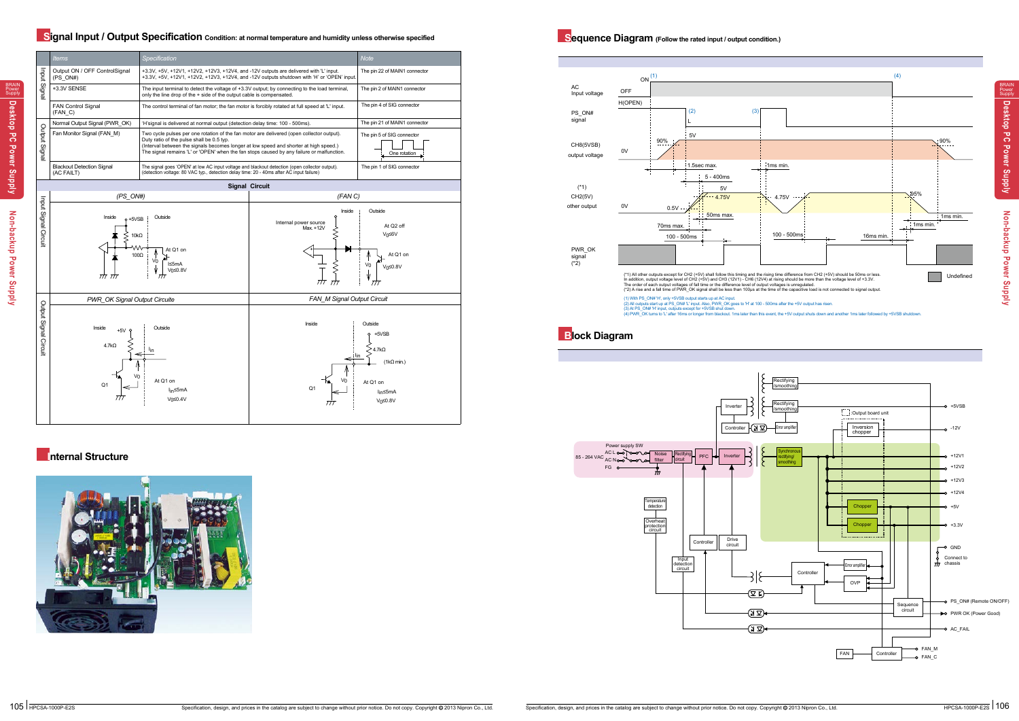**Non-backup Power Supply**

Non-backup Power Supply

BRAIN Power Supply

**Desktop PC Power Supply**



(1) With PS\_ON#"H", only +5VSB output starts up at AC input.<br>(2) All outputs start up at PS\_ON# "L"input. Also, PWR\_OK goes to "H" at 100 - 500ms after the +5V output has risen.<br>(3) Alt PS\_ON# "H" input, outputs except for

## **Signal Input / Output Specification** condition: at normal temperature and humidity unless otherwise specified<br> **Signal Input / Output Specification** condition.)



## **Internal Structure**





## **Block Diagram**

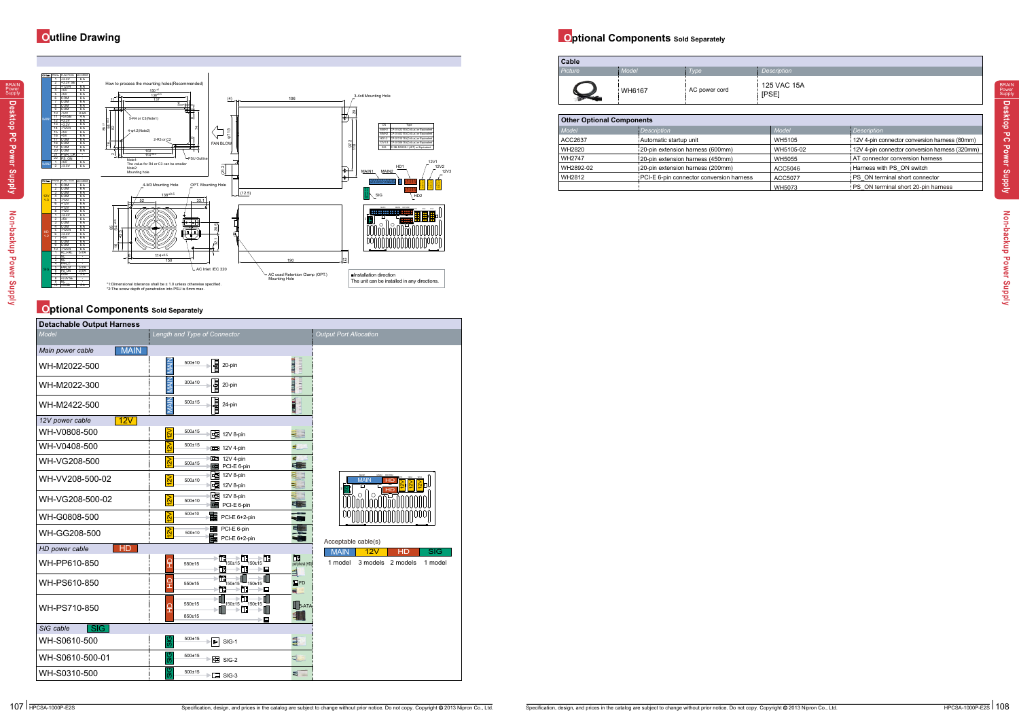**Desktop PC Power Supply**

| <b>Other Optional Components</b> |                                          |               |                                               |  |  |
|----------------------------------|------------------------------------------|---------------|-----------------------------------------------|--|--|
| Model                            | <b>Description</b>                       | <b>Model</b>  | <i><b>Description</b></i>                     |  |  |
| ACC2637                          | Automatic startup unit                   | WH5105        | 12V 4-pin connector conversion harness (80mm) |  |  |
| WH2820                           | 20-pin extension harness (600mm)         | WH5105-02     | 12V 4-pin connector conversion hamess (320mm) |  |  |
| <b>WH2747</b>                    | 20-pin extension harness (450mm)         | <b>WH5055</b> | AT connector conversion harness               |  |  |
| WH2892-02                        | 20-pin extension harness (200mm)         | ACC5046       | Harness with PS ON switch                     |  |  |
| WH2812                           | PCI-E 6-pin connector conversion harness | ACC5077       | PS ON terminal short connector                |  |  |
|                                  |                                          | WH5073        | PS ON terminal short 20-pin harness           |  |  |

# **Optional Components** Sold Separately

# **Outline Drawing Optional Components Sold Separately**



# 125 VAC 15A

| Cable   |              |               |                                |
|---------|--------------|---------------|--------------------------------|
| Picture | <b>Model</b> | Type          | Description                    |
|         | WH6167       | AC power cord | <b>125 VAC</b><br><b>IPSE1</b> |

| <b>Detachable Output Harness</b> |                                                                          |                                   |                                         |
|----------------------------------|--------------------------------------------------------------------------|-----------------------------------|-----------------------------------------|
| Model                            | Length and Type of Connector                                             |                                   | <b>Output Port Allocation</b>           |
| <b>MAIN</b><br>Main power cable  |                                                                          |                                   |                                         |
| WH-M2022-500                     | <b>MAIN</b><br>冒<br>$500 + 10$<br>20-pin                                 | <b>THEFTING</b><br><b>THEFT</b>   |                                         |
| WH-M2022-300                     | <b>MAIN</b><br><b>Septem</b><br>300±10<br>20-pin                         | шилиц<br><b>THEFT</b>             |                                         |
| WH-M2422-500                     | <b>MAIN</b><br><b>Lundary</b><br>$500 + 15$<br>24-pin                    | $H$ and $H$ $\setminus$<br>ē<br>吉 |                                         |
| 12V<br>12V power cable           |                                                                          |                                   |                                         |
| WH-V0808-500                     | $\overline{2V}$<br>$500 + 15$<br>唱<br>12V 8-pin                          | 51                                |                                         |
| WH-V0408-500                     | $\overline{2V}$<br>$500 + 15$<br>图 12V 4-pin                             | ₫                                 |                                         |
| WH-VG208-500                     | 图 12V 4-pin<br>$\overline{2V}$<br>500±15<br>PCI-E 6-pin<br>œ             | E.<br>≡                           |                                         |
| WH-VV208-500-02                  | 唱<br>12V 8-pin<br>$\overline{2V}$<br>$500 + 10$<br>唱<br>12V 8-pin        | ш<br>E                            | <b>MAIN</b><br>HD                       |
| WH-VG208-500-02                  | 圉<br>12V 8-pin<br>$\approx$<br>$500 + 10$<br>PCI-E 6-pin<br>中            | E<br>≣ ≔                          | О<br>О                                  |
| WH-G0808-500                     | 500±10<br>ᇣ<br>$\overline{\mathbf{S}}$<br>PCI-E 6+2-pin                  | $\frac{1}{2}$                     |                                         |
| WH-GG208-500                     | PCI-E 6-pin<br>圉<br>$\overline{2V}$<br>$500 + 10$<br>PCI-E 6+2-pin<br>c۳ | 里                                 | Acceptable cable(s)                     |
| <b>HD</b><br>HD power cable      |                                                                          |                                   | <b>MAIN</b><br>12V<br>HD<br>SIG         |
| WH-PP610-850                     | 匍<br>f۳<br>f٦<br>읖<br>550±15<br>$-150+15$<br>150±15<br>ħ<br>Ì<br>⊡       | 围<br>peripheral (HD)<br>≦         | 1 model<br>3 models 2 models<br>1 model |
| WH-PS610-850                     | Ì.<br>읖<br>550±15<br>150±15<br>150±15<br>ħ<br>İ<br>▣                     | $\Box$ FD<br>耳                    |                                         |
| WH-PS710-850                     | 加<br>550±15<br>150±15<br>150±15<br>읖<br>850±15<br>⊡                      | $\mathbf{S}$ -ATA<br>E I          |                                         |
| SIG<br>SIG cable                 |                                                                          |                                   |                                         |
| WH-S0610-500                     | $500 + 15$<br>$\overline{\text{G}}$<br>$\mathbb{P}$<br>SIG-1             | E                                 |                                         |
| WH-S0610-500-01                  | ଞ୍ଜ<br>500±15<br>$\blacktriangleright$ $\Box$ SIG-2                      | ₫                                 |                                         |
| WH-S0310-500                     | ပ္တ<br>500±15<br>$\blacktriangleright$ $\Box$ SIG-3                      | ≡<br>m.                           |                                         |